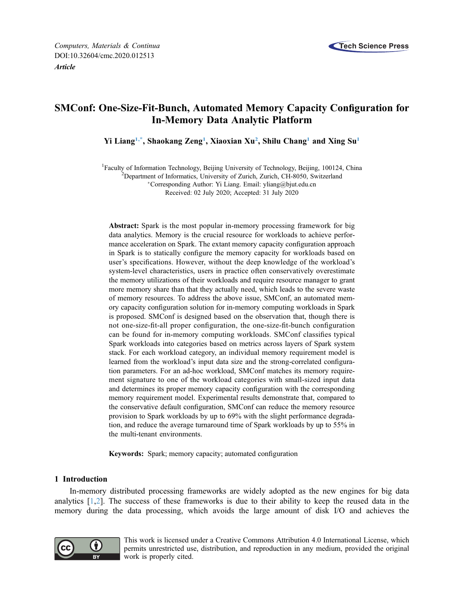

# SMConf: One-Size-Fit-Bunch, Automated Memory Capacity Configuration for In-Memory Data Analytic Platform

Yi Liang<sup>1,\*</sup>, Shaokang Zeng<sup>1</sup>, Xiaoxian Xu<sup>[2](#page-0-2)</sup>, Shilu Chang<sup>[1](#page-0-0)</sup> and Xing Su<sup>1</sup>

<span id="page-0-2"></span><span id="page-0-1"></span><span id="page-0-0"></span><sup>1</sup> Faculty of Information Technology, Beijing University of Technology, Beijing, 100124, China <sup>2</sup> Department of Information University of Zurich Zurich CH 8050, Switzgrland

<sup>2</sup>Department of Informatics, University of Zurich, Zurich, CH-8050, Switzerland Corresponding Author: Yi Liang. Email: [yliang@bjut.edu.cn](mailto:yliang@bjut.edu.cn)

Received: 02 July 2020; Accepted: 31 July 2020

Abstract: Spark is the most popular in-memory processing framework for big data analytics. Memory is the crucial resource for workloads to achieve performance acceleration on Spark. The extant memory capacity configuration approach in Spark is to statically configure the memory capacity for workloads based on user's specifications. However, without the deep knowledge of the workload's system-level characteristics, users in practice often conservatively overestimate the memory utilizations of their workloads and require resource manager to grant more memory share than that they actually need, which leads to the severe waste of memory resources. To address the above issue, SMConf, an automated memory capacity configuration solution for in-memory computing workloads in Spark is proposed. SMConf is designed based on the observation that, though there is not one-size-fit-all proper configuration, the one-size-fit-bunch configuration can be found for in-memory computing workloads. SMConf classifies typical Spark workloads into categories based on metrics across layers of Spark system stack. For each workload category, an individual memory requirement model is learned from the workload's input data size and the strong-correlated configuration parameters. For an ad-hoc workload, SMConf matches its memory requirement signature to one of the workload categories with small-sized input data and determines its proper memory capacity configuration with the corresponding memory requirement model. Experimental results demonstrate that, compared to the conservative default configuration, SMConf can reduce the memory resource provision to Spark workloads by up to 69% with the slight performance degradation, and reduce the average turnaround time of Spark workloads by up to 55% in the multi-tenant environments.

Keywords: Spark; memory capacity; automated configuration

# 1 Introduction

In-memory distributed processing frameworks are widely adopted as the new engines for big data analytics [[1](#page-18-0),[2](#page-18-1)]. The success of these frameworks is due to their ability to keep the reused data in the memory during the data processing, which avoids the large amount of disk I/O and achieves the



This work is licensed under a Creative Commons Attribution 4.0 International License, which permits unrestricted use, distribution, and reproduction in any medium, provided the original work is properly cited.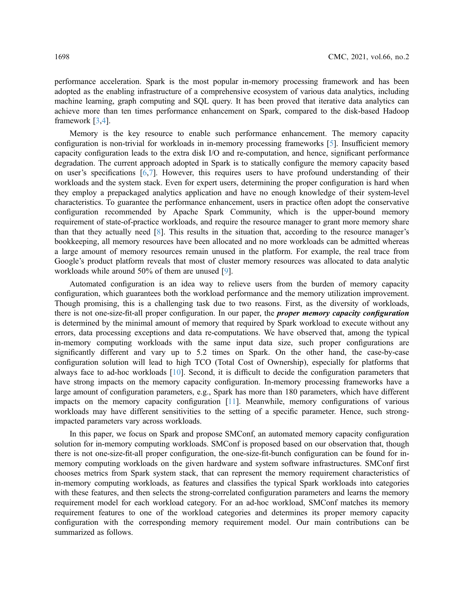performance acceleration. Spark is the most popular in-memory processing framework and has been adopted as the enabling infrastructure of a comprehensive ecosystem of various data analytics, including machine learning, graph computing and SQL query. It has been proved that iterative data analytics can achieve more than ten times performance enhancement on Spark, compared to the disk-based Hadoop framework [\[3](#page-19-0)[,4\]](#page-19-1).

Memory is the key resource to enable such performance enhancement. The memory capacity configuration is non-trivial for workloads in in-memory processing frameworks [[5](#page-19-2)]. Insufficient memory capacity configuration leads to the extra disk I/O and re-computation, and hence, significant performance degradation. The current approach adopted in Spark is to statically configure the memory capacity based on user's specifications [\[6,](#page-19-3)[7\]](#page-19-4). However, this requires users to have profound understanding of their workloads and the system stack. Even for expert users, determining the proper configuration is hard when they employ a prepackaged analytics application and have no enough knowledge of their system-level characteristics. To guarantee the performance enhancement, users in practice often adopt the conservative configuration recommended by Apache Spark Community, which is the upper-bound memory requirement of state-of-practice workloads, and require the resource manager to grant more memory share than that they actually need [[8](#page-19-5)]. This results in the situation that, according to the resource manager's bookkeeping, all memory resources have been allocated and no more workloads can be admitted whereas a large amount of memory resources remain unused in the platform. For example, the real trace from Google's product platform reveals that most of cluster memory resources was allocated to data analytic workloads while around 50% of them are unused [[9](#page-19-6)].

Automated configuration is an idea way to relieve users from the burden of memory capacity configuration, which guarantees both the workload performance and the memory utilization improvement. Though promising, this is a challenging task due to two reasons. First, as the diversity of workloads, there is not one-size-fit-all proper configuration. In our paper, the *proper memory capacity configuration* is determined by the minimal amount of memory that required by Spark workload to execute without any errors, data processing exceptions and data re-computations. We have observed that, among the typical in-memory computing workloads with the same input data size, such proper configurations are significantly different and vary up to 5.2 times on Spark. On the other hand, the case-by-case configuration solution will lead to high TCO (Total Cost of Ownership), especially for platforms that always face to ad-hoc workloads [[10\]](#page-19-7). Second, it is difficult to decide the configuration parameters that have strong impacts on the memory capacity configuration. In-memory processing frameworks have a large amount of configuration parameters, e.g., Spark has more than 180 parameters, which have different impacts on the memory capacity configuration [\[11\]](#page-19-8). Meanwhile, memory configurations of various workloads may have different sensitivities to the setting of a specific parameter. Hence, such strongimpacted parameters vary across workloads.

In this paper, we focus on Spark and propose SMConf, an automated memory capacity configuration solution for in-memory computing workloads. SMConf is proposed based on our observation that, though there is not one-size-fit-all proper configuration, the one-size-fit-bunch configuration can be found for inmemory computing workloads on the given hardware and system software infrastructures. SMConf first chooses metrics from Spark system stack, that can represent the memory requirement characteristics of in-memory computing workloads, as features and classifies the typical Spark workloads into categories with these features, and then selects the strong-correlated configuration parameters and learns the memory requirement model for each workload category. For an ad-hoc workload, SMConf matches its memory requirement features to one of the workload categories and determines its proper memory capacity configuration with the corresponding memory requirement model. Our main contributions can be summarized as follows.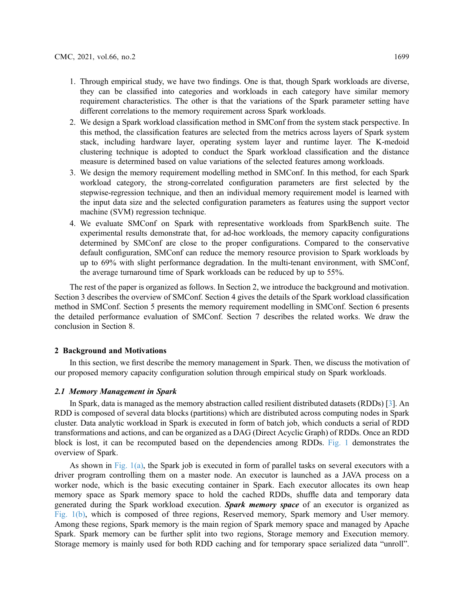- 1. Through empirical study, we have two findings. One is that, though Spark workloads are diverse, they can be classified into categories and workloads in each category have similar memory requirement characteristics. The other is that the variations of the Spark parameter setting have different correlations to the memory requirement across Spark workloads.
- 2. We design a Spark workload classification method in SMConf from the system stack perspective. In this method, the classification features are selected from the metrics across layers of Spark system stack, including hardware layer, operating system layer and runtime layer. The K-medoid clustering technique is adopted to conduct the Spark workload classification and the distance measure is determined based on value variations of the selected features among workloads.
- 3. We design the memory requirement modelling method in SMConf. In this method, for each Spark workload category, the strong-correlated configuration parameters are first selected by the stepwise-regression technique, and then an individual memory requirement model is learned with the input data size and the selected configuration parameters as features using the support vector machine (SVM) regression technique.
- 4. We evaluate SMConf on Spark with representative workloads from SparkBench suite. The experimental results demonstrate that, for ad-hoc workloads, the memory capacity configurations determined by SMConf are close to the proper configurations. Compared to the conservative default configuration, SMConf can reduce the memory resource provision to Spark workloads by up to 69% with slight performance degradation. In the multi-tenant environment, with SMConf, the average turnaround time of Spark workloads can be reduced by up to 55%.

The rest of the paper is organized as follows. In Section 2, we introduce the background and motivation. Section 3 describes the overview of SMConf. Section 4 gives the details of the Spark workload classification method in SMConf. Section 5 presents the memory requirement modelling in SMConf. Section 6 presents the detailed performance evaluation of SMConf. Section 7 describes the related works. We draw the conclusion in Section 8.

# 2 Background and Motivations

In this section, we first describe the memory management in Spark. Then, we discuss the motivation of our proposed memory capacity configuration solution through empirical study on Spark workloads.

# 2.1 Memory Management in Spark

In Spark, data is managed as the memory abstraction called resilient distributed datasets (RDDs) [[3](#page-19-0)]. An RDD is composed of several data blocks (partitions) which are distributed across computing nodes in Spark cluster. Data analytic workload in Spark is executed in form of batch job, which conducts a serial of RDD transformations and actions, and can be organized as a DAG (Direct Acyclic Graph) of RDDs. Once an RDD block is lost, it can be recomputed based on the dependencies among RDDs. [Fig. 1](#page-3-0) demonstrates the overview of Spark.

As shown in Fig.  $1(a)$ , the Spark job is executed in form of parallel tasks on several executors with a driver program controlling them on a master node. An executor is launched as a JAVA process on a worker node, which is the basic executing container in Spark. Each executor allocates its own heap memory space as Spark memory space to hold the cached RDDs, shuffle data and temporary data generated during the Spark workload execution. Spark memory space of an executor is organized as [Fig. 1\(b\)](#page-3-0), which is composed of three regions, Reserved memory, Spark memory and User memory. Among these regions, Spark memory is the main region of Spark memory space and managed by Apache Spark. Spark memory can be further split into two regions, Storage memory and Execution memory. Storage memory is mainly used for both RDD caching and for temporary space serialized data "unroll".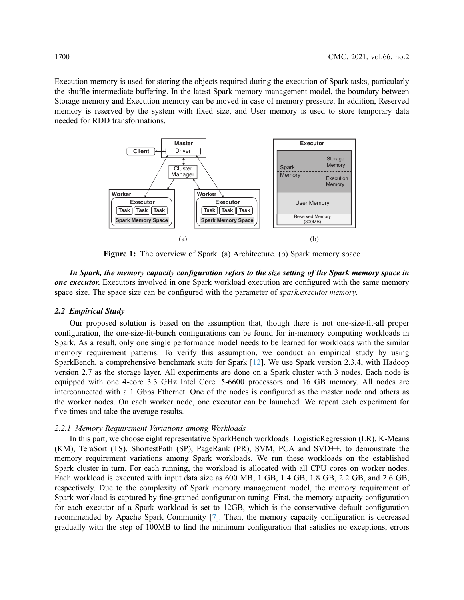<span id="page-3-0"></span>Execution memory is used for storing the objects required during the execution of Spark tasks, particularly the shuffle intermediate buffering. In the latest Spark memory management model, the boundary between Storage memory and Execution memory can be moved in case of memory pressure. In addition, Reserved memory is reserved by the system with fixed size, and User memory is used to store temporary data needed for RDD transformations.



Figure 1: The overview of Spark. (a) Architecture. (b) Spark memory space

In Spark, the memory capacity configuration refers to the size setting of the Spark memory space in one executor. Executors involved in one Spark workload execution are configured with the same memory space size. The space size can be configured with the parameter of *spark.executor.memory*.

## 2.2 Empirical Study

Our proposed solution is based on the assumption that, though there is not one-size-fit-all proper configuration, the one-size-fit-bunch configurations can be found for in-memory computing workloads in Spark. As a result, only one single performance model needs to be learned for workloads with the similar memory requirement patterns. To verify this assumption, we conduct an empirical study by using SparkBench, a comprehensive benchmark suite for Spark [\[12](#page-19-9)]. We use Spark version 2.3.4, with Hadoop version 2.7 as the storage layer. All experiments are done on a Spark cluster with 3 nodes. Each node is equipped with one 4-core 3.3 GHz Intel Core i5-6600 processors and 16 GB memory. All nodes are interconnected with a 1 Gbps Ethernet. One of the nodes is configured as the master node and others as the worker nodes. On each worker node, one executor can be launched. We repeat each experiment for five times and take the average results.

#### 2.2.1 Memory Requirement Variations among Workloads

In this part, we choose eight representative SparkBench workloads: LogisticRegression (LR), K-Means (KM), TeraSort (TS), ShortestPath (SP), PageRank (PR), SVM, PCA and SVD++, to demonstrate the memory requirement variations among Spark workloads. We run these workloads on the established Spark cluster in turn. For each running, the workload is allocated with all CPU cores on worker nodes. Each workload is executed with input data size as 600 MB, 1 GB, 1.4 GB, 1.8 GB, 2.2 GB, and 2.6 GB, respectively. Due to the complexity of Spark memory management model, the memory requirement of Spark workload is captured by fine-grained configuration tuning. First, the memory capacity configuration for each executor of a Spark workload is set to 12GB, which is the conservative default configuration recommended by Apache Spark Community [[7](#page-19-4)]. Then, the memory capacity configuration is decreased gradually with the step of 100MB to find the minimum configuration that satisfies no exceptions, errors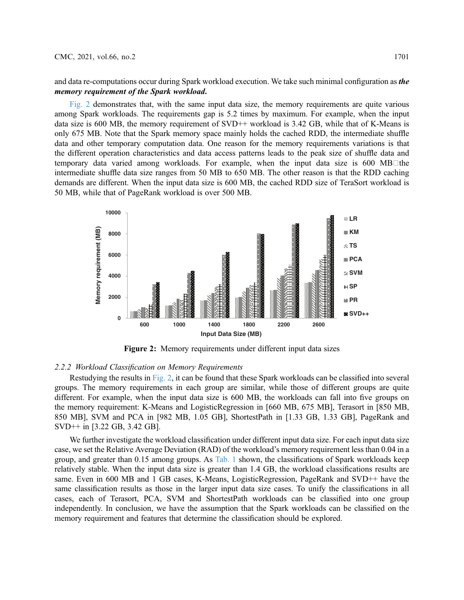and data re-computations occur during Spark workload execution. We take such minimal configuration as *the* memory requirement of the Spark workload.

[Fig. 2](#page-4-0) demonstrates that, with the same input data size, the memory requirements are quite various among Spark workloads. The requirements gap is 5.2 times by maximum. For example, when the input data size is 600 MB, the memory requirement of SVD++ workload is 3.42 GB, while that of K-Means is only 675 MB. Note that the Spark memory space mainly holds the cached RDD, the intermediate shuffle data and other temporary computation data. One reason for the memory requirements variations is that the different operation characteristics and data access patterns leads to the peak size of shuffle data and temporary data varied among workloads. For example, when the input data size is 600 MB $\Box$ the intermediate shuffle data size ranges from 50 MB to 650 MB. The other reason is that the RDD caching demands are different. When the input data size is 600 MB, the cached RDD size of TeraSort workload is 50 MB, while that of PageRank workload is over 500 MB.

<span id="page-4-0"></span>

Figure 2: Memory requirements under different input data sizes

#### 2.2.2 Workload Classification on Memory Requirements

Restudying the results in [Fig. 2](#page-4-0), it can be found that these Spark workloads can be classified into several groups. The memory requirements in each group are similar, while those of different groups are quite different. For example, when the input data size is 600 MB, the workloads can fall into five groups on the memory requirement: K-Means and LogisticRegression in [660 MB, 675 MB], Terasort in [850 MB, 850 MB], SVM and PCA in [982 MB, 1.05 GB], ShortestPath in [1.33 GB, 1.33 GB], PageRank and SVD++ in [3.22 GB, 3.42 GB].

We further investigate the workload classification under different input data size. For each input data size case, we set the Relative Average Deviation (RAD) of the workload's memory requirement less than 0.04 in a group, and greater than 0.15 among groups. As [Tab. 1](#page-5-0) shown, the classifications of Spark workloads keep relatively stable. When the input data size is greater than 1.4 GB, the workload classifications results are same. Even in 600 MB and 1 GB cases, K-Means, LogisticRegression, PageRank and SVD++ have the same classification results as those in the larger input data size cases. To unify the classifications in all cases, each of Terasort, PCA, SVM and ShortestPath workloads can be classified into one group independently. In conclusion, we have the assumption that the Spark workloads can be classified on the memory requirement and features that determine the classification should be explored.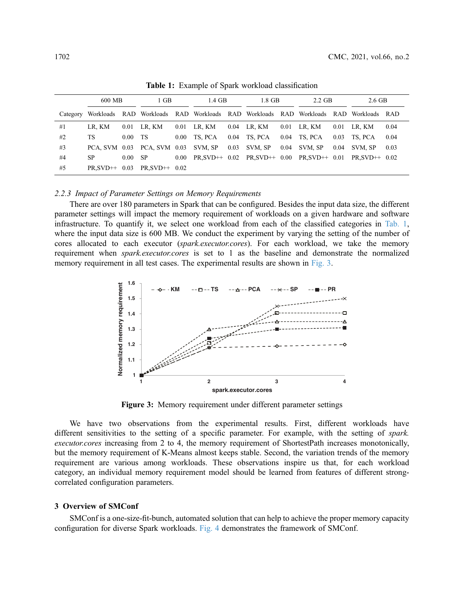<span id="page-5-0"></span>

|          | 600 MB          |                   | $1$ GB                                                                              |      | 1.4 GB  |      | 1.8 GB                          |      | $2.2$ GB        |      | 2.6 GB          |      |
|----------|-----------------|-------------------|-------------------------------------------------------------------------------------|------|---------|------|---------------------------------|------|-----------------|------|-----------------|------|
| Category |                 |                   | Workloads RAD Workloads RAD Workloads RAD Workloads RAD Workloads RAD Workloads RAD |      |         |      |                                 |      |                 |      |                 |      |
| #1       | LR. KM          | 0.01              | LR. KM                                                                              | 0.01 | LR, KM  |      | 0.04 LR, KM                     | 0.01 | LR. KM          | 0.01 | LR. KM          | 0.04 |
| #2       | TS.             | 0.00 <sub>1</sub> | - TS                                                                                | 0.00 | TS. PCA | 0.04 | TS. PCA                         | 0.04 | TS. PCA         | 0.03 | TS. PCA         | 0.04 |
| #3       | PCA. SVM 0.03   |                   | PCA, SVM 0.03                                                                       |      | SVM, SP | 0.03 | SVM, SP                         | 0.04 | SVM, SP         | 0.04 | SVM, SP         | 0.03 |
| #4       | SP              | 0.00 <sub>1</sub> | -SP                                                                                 | 0.00 |         |      | $PR, SVD++ 0.02 PR, SVD++ 0.00$ |      | $PR.SVD++ 0.01$ |      | $PR.SVD++ 0.02$ |      |
| #5       | $PR.SVD++ 0.03$ |                   | $PR.SVD++ 0.02$                                                                     |      |         |      |                                 |      |                 |      |                 |      |

Table 1: Example of Spark workload classification

#### 2.2.3 Impact of Parameter Settings on Memory Requirements

There are over 180 parameters in Spark that can be configured. Besides the input data size, the different parameter settings will impact the memory requirement of workloads on a given hardware and software infrastructure. To quantify it, we select one workload from each of the classified categories in [Tab. 1](#page-5-0), where the input data size is 600 MB. We conduct the experiment by varying the setting of the number of cores allocated to each executor (spark.executor.cores). For each workload, we take the memory requirement when *spark.executor.cores* is set to 1 as the baseline and demonstrate the normalized memory requirement in all test cases. The experimental results are shown in [Fig. 3.](#page-5-1)

<span id="page-5-1"></span>

Figure 3: Memory requirement under different parameter settings

We have two observations from the experimental results. First, different workloads have different sensitivities to the setting of a specific parameter. For example, with the setting of spark. executor.cores increasing from 2 to 4, the memory requirement of ShortestPath increases monotonically, but the memory requirement of K-Means almost keeps stable. Second, the variation trends of the memory requirement are various among workloads. These observations inspire us that, for each workload category, an individual memory requirement model should be learned from features of different strongcorrelated configuration parameters.

# 3 Overview of SMConf

SMConf is a one-size-fit-bunch, automated solution that can help to achieve the proper memory capacity configuration for diverse Spark workloads. [Fig. 4](#page-6-0) demonstrates the framework of SMConf.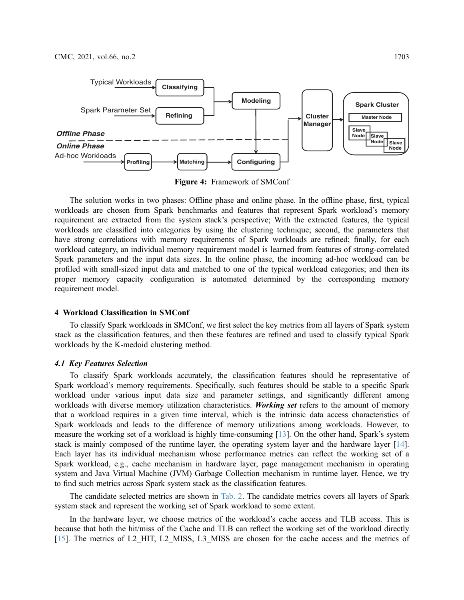<span id="page-6-0"></span>

Figure 4: Framework of SMConf

The solution works in two phases: Offline phase and online phase. In the offline phase, first, typical workloads are chosen from Spark benchmarks and features that represent Spark workload's memory requirement are extracted from the system stack's perspective; With the extracted features, the typical workloads are classified into categories by using the clustering technique; second, the parameters that have strong correlations with memory requirements of Spark workloads are refined; finally, for each workload category, an individual memory requirement model is learned from features of strong-correlated Spark parameters and the input data sizes. In the online phase, the incoming ad-hoc workload can be profiled with small-sized input data and matched to one of the typical workload categories; and then its proper memory capacity configuration is automated determined by the corresponding memory requirement model.

# 4 Workload Classification in SMConf

To classify Spark workloads in SMConf, we first select the key metrics from all layers of Spark system stack as the classification features, and then these features are refined and used to classify typical Spark workloads by the K-medoid clustering method.

# 4.1 Key Features Selection

To classify Spark workloads accurately, the classification features should be representative of Spark workload's memory requirements. Specifically, such features should be stable to a specific Spark workload under various input data size and parameter settings, and significantly different among workloads with diverse memory utilization characteristics. Working set refers to the amount of memory that a workload requires in a given time interval, which is the intrinsic data access characteristics of Spark workloads and leads to the difference of memory utilizations among workloads. However, to measure the working set of a workload is highly time-consuming [\[13](#page-19-10)]. On the other hand, Spark's system stack is mainly composed of the runtime layer, the operating system layer and the hardware layer [[14\]](#page-19-11). Each layer has its individual mechanism whose performance metrics can reflect the working set of a Spark workload, e.g., cache mechanism in hardware layer, page management mechanism in operating system and Java Virtual Machine (JVM) Garbage Collection mechanism in runtime layer. Hence, we try to find such metrics across Spark system stack as the classification features.

The candidate selected metrics are shown in [Tab. 2.](#page-7-0) The candidate metrics covers all layers of Spark system stack and represent the working set of Spark workload to some extent.

In the hardware layer, we choose metrics of the workload's cache access and TLB access. This is because that both the hit/miss of the Cache and TLB can reflect the working set of the workload directly [[15](#page-19-12)]. The metrics of L2 HIT, L2 MISS, L3 MISS are chosen for the cache access and the metrics of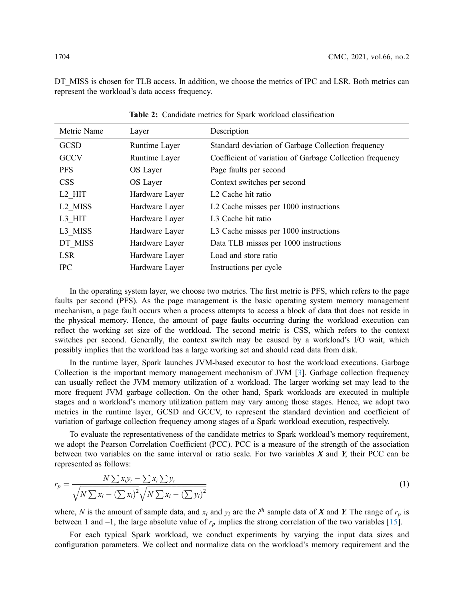DT\_MISS is chosen for TLB access. In addition, we choose the metrics of IPC and LSR. Both metrics can represent the workload's data access frequency.

<span id="page-7-0"></span>

| Metric Name         | Layer          | Description                                              |
|---------------------|----------------|----------------------------------------------------------|
| <b>GCSD</b>         | Runtime Layer  | Standard deviation of Garbage Collection frequency       |
| <b>GCCV</b>         | Runtime Layer  | Coefficient of variation of Garbage Collection frequency |
| <b>PFS</b>          | OS Layer       | Page faults per second                                   |
| <b>CSS</b>          | OS Layer       | Context switches per second                              |
| L2 HIT              | Hardware Layer | L <sub>2</sub> Cache hit ratio                           |
| L <sub>2</sub> MISS | Hardware Layer | L2 Cache misses per 1000 instructions                    |
| L3 HIT              | Hardware Layer | L <sub>3</sub> Cache hit ratio                           |
| L3 MISS             | Hardware Layer | L3 Cache misses per 1000 instructions                    |
| DT MISS             | Hardware Layer | Data TLB misses per 1000 instructions                    |
| <b>LSR</b>          | Hardware Layer | Load and store ratio                                     |
| <b>IPC</b>          | Hardware Layer | Instructions per cycle                                   |

Table 2: Candidate metrics for Spark workload classification

In the operating system layer, we choose two metrics. The first metric is PFS, which refers to the page faults per second (PFS). As the page management is the basic operating system memory management mechanism, a page fault occurs when a process attempts to access a block of data that does not reside in the physical memory. Hence, the amount of page faults occurring during the workload execution can reflect the working set size of the workload. The second metric is CSS, which refers to the context switches per second. Generally, the context switch may be caused by a workload's I/O wait, which possibly implies that the workload has a large working set and should read data from disk.

In the runtime layer, Spark launches JVM-based executor to host the workload executions. Garbage Collection is the important memory management mechanism of JVM [\[3](#page-19-0)]. Garbage collection frequency can usually reflect the JVM memory utilization of a workload. The larger working set may lead to the more frequent JVM garbage collection. On the other hand, Spark workloads are executed in multiple stages and a workload's memory utilization pattern may vary among those stages. Hence, we adopt two metrics in the runtime layer, GCSD and GCCV, to represent the standard deviation and coefficient of variation of garbage collection frequency among stages of a Spark workload execution, respectively.

To evaluate the representativeness of the candidate metrics to Spark workload's memory requirement, we adopt the Pearson Correlation Coefficient (PCC). PCC is a measure of the strength of the association between two variables on the same interval or ratio scale. For two variables  $X$  and  $Y$ , their PCC can be represented as follows:

$$
r_p = \frac{N \sum x_i y_i - \sum x_i \sum y_i}{\sqrt{N \sum x_i - (\sum x_i)^2} \sqrt{N \sum x_i - (\sum y_i)^2}}
$$
(1)

where, N is the amount of sample data, and  $x_i$  and  $y_i$  are the i<sup>th</sup> sample data of X and Y. The range of  $r_p$  is between 1 and –1, the large absolute value of  $r_p$  implies the strong correlation of the two variables [[15\]](#page-19-12).

For each typical Spark workload, we conduct experiments by varying the input data sizes and configuration parameters. We collect and normalize data on the workload's memory requirement and the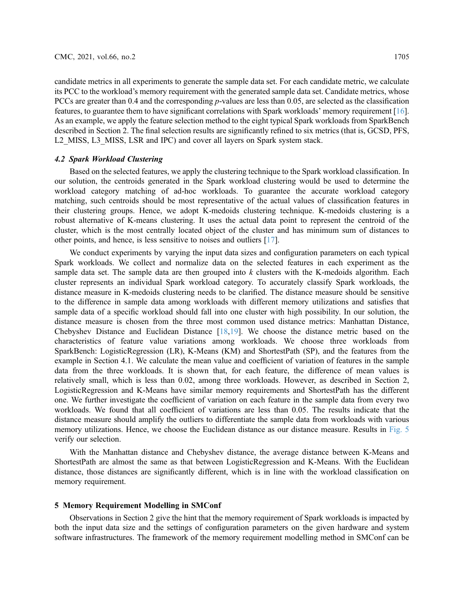candidate metrics in all experiments to generate the sample data set. For each candidate metric, we calculate its PCC to the workload's memory requirement with the generated sample data set. Candidate metrics, whose PCCs are greater than 0.4 and the corresponding p-values are less than 0.05, are selected as the classification features, to guarantee them to have significant correlations with Spark workloads' memory requirement [[16\]](#page-19-13). As an example, we apply the feature selection method to the eight typical Spark workloads from SparkBench described in Section 2. The final selection results are significantly refined to six metrics (that is, GCSD, PFS, L2 MISS, L3 MISS, LSR and IPC) and cover all layers on Spark system stack.

# 4.2 Spark Workload Clustering

Based on the selected features, we apply the clustering technique to the Spark workload classification. In our solution, the centroids generated in the Spark workload clustering would be used to determine the workload category matching of ad-hoc workloads. To guarantee the accurate workload category matching, such centroids should be most representative of the actual values of classification features in their clustering groups. Hence, we adopt K-medoids clustering technique. K-medoids clustering is a robust alternative of K-means clustering. It uses the actual data point to represent the centroid of the cluster, which is the most centrally located object of the cluster and has minimum sum of distances to other points, and hence, is less sensitive to noises and outliers [[17\]](#page-19-14).

We conduct experiments by varying the input data sizes and configuration parameters on each typical Spark workloads. We collect and normalize data on the selected features in each experiment as the sample data set. The sample data are then grouped into  $k$  clusters with the K-medoids algorithm. Each cluster represents an individual Spark workload category. To accurately classify Spark workloads, the distance measure in K-medoids clustering needs to be clarified. The distance measure should be sensitive to the difference in sample data among workloads with different memory utilizations and satisfies that sample data of a specific workload should fall into one cluster with high possibility. In our solution, the distance measure is chosen from the three most common used distance metrics: Manhattan Distance, Chebyshev Distance and Euclidean Distance [[18,](#page-19-15)[19\]](#page-19-16). We choose the distance metric based on the characteristics of feature value variations among workloads. We choose three workloads from SparkBench: LogisticRegression (LR), K-Means (KM) and ShortestPath (SP), and the features from the example in Section 4.1. We calculate the mean value and coefficient of variation of features in the sample data from the three workloads. It is shown that, for each feature, the difference of mean values is relatively small, which is less than 0.02, among three workloads. However, as described in Section 2, LogisticRegression and K-Means have similar memory requirements and ShortestPath has the different one. We further investigate the coefficient of variation on each feature in the sample data from every two workloads. We found that all coefficient of variations are less than 0.05. The results indicate that the distance measure should amplify the outliers to differentiate the sample data from workloads with various memory utilizations. Hence, we choose the Euclidean distance as our distance measure. Results in [Fig. 5](#page-9-0) verify our selection.

With the Manhattan distance and Chebyshev distance, the average distance between K-Means and ShortestPath are almost the same as that between LogisticRegression and K-Means. With the Euclidean distance, those distances are significantly different, which is in line with the workload classification on memory requirement.

## 5 Memory Requirement Modelling in SMConf

Observations in Section 2 give the hint that the memory requirement of Spark workloads is impacted by both the input data size and the settings of configuration parameters on the given hardware and system software infrastructures. The framework of the memory requirement modelling method in SMConf can be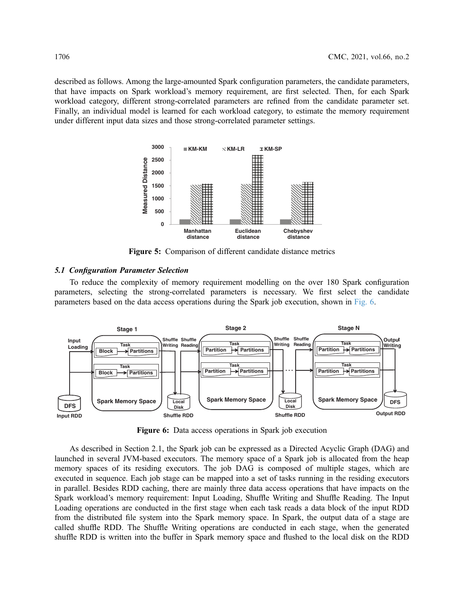<span id="page-9-0"></span>described as follows. Among the large-amounted Spark configuration parameters, the candidate parameters, that have impacts on Spark workload's memory requirement, are first selected. Then, for each Spark workload category, different strong-correlated parameters are refined from the candidate parameter set. Finally, an individual model is learned for each workload category, to estimate the memory requirement under different input data sizes and those strong-correlated parameter settings.



Figure 5: Comparison of different candidate distance metrics

# 5.1 Configuration Parameter Selection

To reduce the complexity of memory requirement modelling on the over 180 Spark configuration parameters, selecting the strong-correlated parameters is necessary. We first select the candidate parameters based on the data access operations during the Spark job execution, shown in [Fig. 6.](#page-9-1)

<span id="page-9-1"></span>

Figure 6: Data access operations in Spark job execution

As described in Section 2.1, the Spark job can be expressed as a Directed Acyclic Graph (DAG) and launched in several JVM-based executors. The memory space of a Spark job is allocated from the heap memory spaces of its residing executors. The job DAG is composed of multiple stages, which are executed in sequence. Each job stage can be mapped into a set of tasks running in the residing executors in parallel. Besides RDD caching, there are mainly three data access operations that have impacts on the Spark workload's memory requirement: Input Loading, Shuffle Writing and Shuffle Reading. The Input Loading operations are conducted in the first stage when each task reads a data block of the input RDD from the distributed file system into the Spark memory space. In Spark, the output data of a stage are called shuffle RDD. The Shuffle Writing operations are conducted in each stage, when the generated shuffle RDD is written into the buffer in Spark memory space and flushed to the local disk on the RDD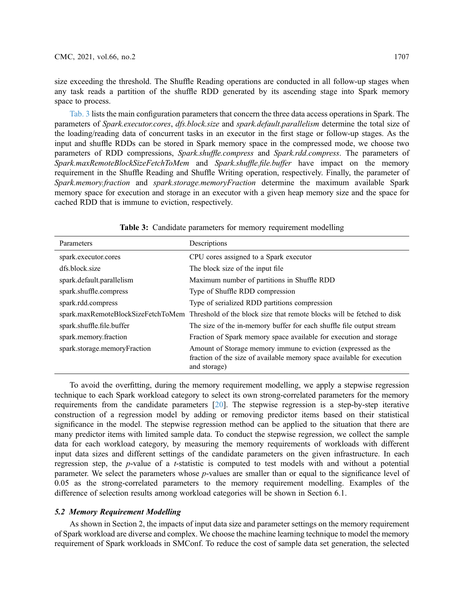size exceeding the threshold. The Shuffle Reading operations are conducted in all follow-up stages when any task reads a partition of the shuffle RDD generated by its ascending stage into Spark memory space to process.

[Tab. 3](#page-10-0) lists the main configuration parameters that concern the three data access operations in Spark. The parameters of Spark.executor.cores, dfs.block.size and spark.default.parallelism determine the total size of the loading/reading data of concurrent tasks in an executor in the first stage or follow-up stages. As the input and shuffle RDDs can be stored in Spark memory space in the compressed mode, we choose two parameters of RDD compressions, Spark.shuffle.compress and Spark.rdd.compress. The parameters of Spark.maxRemoteBlockSizeFetchToMem and Spark.shuffle.file.buffer have impact on the memory requirement in the Shuffle Reading and Shuffle Writing operation, respectively. Finally, the parameter of Spark.memory.fraction and spark.storage.memoryFraction determine the maximum available Spark memory space for execution and storage in an executor with a given heap memory size and the space for cached RDD that is immune to eviction, respectively.

<span id="page-10-0"></span>

| Parameters                   | Descriptions                                                                                                                                            |
|------------------------------|---------------------------------------------------------------------------------------------------------------------------------------------------------|
| spark.executor.cores         | CPU cores assigned to a Spark executor                                                                                                                  |
| dfs.block.size               | The block size of the input file.                                                                                                                       |
| spark.default.parallelism    | Maximum number of partitions in Shuffle RDD                                                                                                             |
| spark.shuffle.compress       | Type of Shuffle RDD compression                                                                                                                         |
| spark.rdd.compress           | Type of serialized RDD partitions compression                                                                                                           |
|                              | spark.maxRemoteBlockSizeFetchToMem Threshold of the block size that remote blocks will be fetched to disk                                               |
| spark.shuffle.file.buffer    | The size of the in-memory buffer for each shuffle file output stream                                                                                    |
| spark.memory.fraction        | Fraction of Spark memory space available for execution and storage                                                                                      |
| spark.storage.memoryFraction | Amount of Storage memory immune to eviction (expressed as the<br>fraction of the size of available memory space available for execution<br>and storage) |

Table 3: Candidate parameters for memory requirement modelling

To avoid the overfitting, during the memory requirement modelling, we apply a stepwise regression technique to each Spark workload category to select its own strong-correlated parameters for the memory requirements from the candidate parameters [[20\]](#page-19-17). The stepwise regression is a step-by-step iterative construction of a regression model by adding or removing predictor items based on their statistical significance in the model. The stepwise regression method can be applied to the situation that there are many predictor items with limited sample data. To conduct the stepwise regression, we collect the sample data for each workload category, by measuring the memory requirements of workloads with different input data sizes and different settings of the candidate parameters on the given infrastructure. In each regression step, the p-value of a t-statistic is computed to test models with and without a potential parameter. We select the parameters whose *p*-values are smaller than or equal to the significance level of 0.05 as the strong-correlated parameters to the memory requirement modelling. Examples of the difference of selection results among workload categories will be shown in Section 6.1.

# 5.2 Memory Requirement Modelling

As shown in Section 2, the impacts of input data size and parameter settings on the memory requirement of Spark workload are diverse and complex. We choose the machine learning technique to model the memory requirement of Spark workloads in SMConf. To reduce the cost of sample data set generation, the selected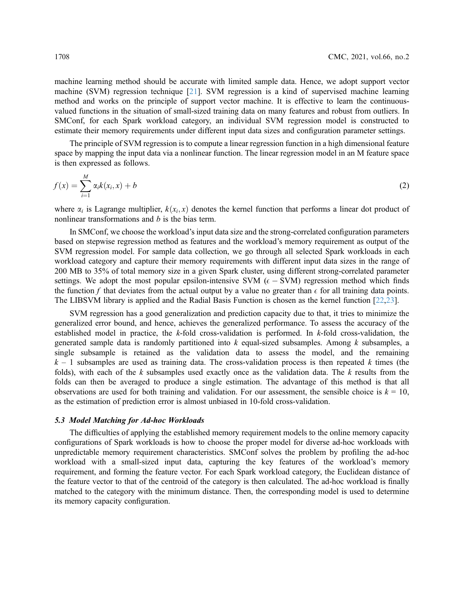machine learning method should be accurate with limited sample data. Hence, we adopt support vector machine (SVM) regression technique [[21\]](#page-19-18). SVM regression is a kind of supervised machine learning method and works on the principle of support vector machine. It is effective to learn the continuousvalued functions in the situation of small-sized training data on many features and robust from outliers. In SMConf, for each Spark workload category, an individual SVM regression model is constructed to estimate their memory requirements under different input data sizes and configuration parameter settings.

The principle of SVM regression is to compute a linear regression function in a high dimensional feature space by mapping the input data via a nonlinear function. The linear regression model in an M feature space is then expressed as follows.

$$
f(x) = \sum_{i=1}^{M} \alpha_i k(x_i, x) + b \tag{2}
$$

where  $\alpha_i$  is Lagrange multiplier,  $k(x_i, x)$  denotes the kernel function that performs a linear dot product of nonlinear transformations and b is the bias term.

In SMConf, we choose the workload's input data size and the strong-correlated configuration parameters based on stepwise regression method as features and the workload's memory requirement as output of the SVM regression model. For sample data collection, we go through all selected Spark workloads in each workload category and capture their memory requirements with different input data sizes in the range of 200 MB to 35% of total memory size in a given Spark cluster, using different strong-correlated parameter settings. We adopt the most popular epsilon-intensive SVM  $(\epsilon - \text{SVM})$  regression method which finds the function f that deviates from the actual output by a value no greater than  $\epsilon$  for all training data points. The LIBSVM library is applied and the Radial Basis Function is chosen as the kernel function [\[22](#page-19-19),[23\]](#page-19-20).

SVM regression has a good generalization and prediction capacity due to that, it tries to minimize the generalized error bound, and hence, achieves the generalized performance. To assess the accuracy of the established model in practice, the k-fold cross-validation is performed. In k-fold cross-validation, the generated sample data is randomly partitioned into  $k$  equal-sized subsamples. Among  $k$  subsamples, a single subsample is retained as the validation data to assess the model, and the remaining  $k-1$  subsamples are used as training data. The cross-validation process is then repeated k times (the folds), with each of the  $k$  subsamples used exactly once as the validation data. The  $k$  results from the folds can then be averaged to produce a single estimation. The advantage of this method is that all observations are used for both training and validation. For our assessment, the sensible choice is  $k = 10$ , as the estimation of prediction error is almost unbiased in 10-fold cross-validation.

# 5.3 Model Matching for Ad-hoc Workloads

The difficulties of applying the established memory requirement models to the online memory capacity configurations of Spark workloads is how to choose the proper model for diverse ad-hoc workloads with unpredictable memory requirement characteristics. SMConf solves the problem by profiling the ad-hoc workload with a small-sized input data, capturing the key features of the workload's memory requirement, and forming the feature vector. For each Spark workload category, the Euclidean distance of the feature vector to that of the centroid of the category is then calculated. The ad-hoc workload is finally matched to the category with the minimum distance. Then, the corresponding model is used to determine its memory capacity configuration.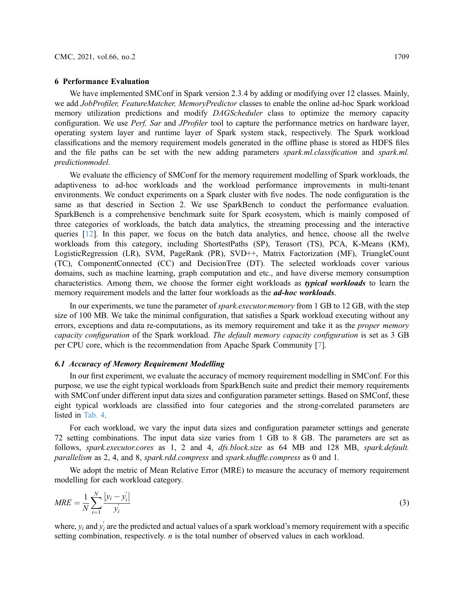#### 6 Performance Evaluation

We have implemented SMConf in Spark version 2.3.4 by adding or modifying over 12 classes. Mainly, we add JobProfiler, FeatureMatcher, MemoryPredictor classes to enable the online ad-hoc Spark workload memory utilization predictions and modify *DAGScheduler* class to optimize the memory capacity configuration. We use Perf, Sar and JProfiler tool to capture the performance metrics on hardware layer, operating system layer and runtime layer of Spark system stack, respectively. The Spark workload classifications and the memory requirement models generated in the offline phase is stored as HDFS files and the file paths can be set with the new adding parameters *spark.ml.classification* and *spark.ml.* predictionmodel.

We evaluate the efficiency of SMConf for the memory requirement modelling of Spark workloads, the adaptiveness to ad-hoc workloads and the workload performance improvements in multi-tenant environments. We conduct experiments on a Spark cluster with five nodes. The node configuration is the same as that descried in Section 2. We use SparkBench to conduct the performance evaluation. SparkBench is a comprehensive benchmark suite for Spark ecosystem, which is mainly composed of three categories of workloads, the batch data analytics, the streaming processing and the interactive queries [\[12](#page-19-9)]. In this paper, we focus on the batch data analytics, and hence, choose all the twelve workloads from this category, including ShortestPaths (SP), Terasort (TS), PCA, K-Means (KM), LogisticRegression (LR), SVM, PageRank (PR), SVD++, Matrix Factorization (MF), TriangleCount (TC), ComponentConnected (CC) and DecisionTree (DT). The selected workloads cover various domains, such as machine learning, graph computation and etc., and have diverse memory consumption characteristics. Among them, we choose the former eight workloads as *typical workloads* to learn the memory requirement models and the latter four workloads as the *ad-hoc workloads*.

In our experiments, we tune the parameter of *spark.executor.memory* from 1 GB to 12 GB, with the step size of 100 MB. We take the minimal configuration, that satisfies a Spark workload executing without any errors, exceptions and data re-computations, as its memory requirement and take it as the *proper memory* capacity configuration of the Spark workload. The default memory capacity configuration is set as 3 GB per CPU core, which is the recommendation from Apache Spark Community [\[7\]](#page-19-4).

## 6.1 Accuracy of Memory Requirement Modelling

In our first experiment, we evaluate the accuracy of memory requirement modelling in SMConf. For this purpose, we use the eight typical workloads from SparkBench suite and predict their memory requirements with SMConf under different input data sizes and configuration parameter settings. Based on SMConf, these eight typical workloads are classified into four categories and the strong-correlated parameters are listed in [Tab. 4](#page-13-0).

For each workload, we vary the input data sizes and configuration parameter settings and generate 72 setting combinations. The input data size varies from 1 GB to 8 GB. The parameters are set as follows, spark.executor.cores as 1, 2 and 4, dfs.block.size as 64 MB and 128 MB, spark.default. parallelism as 2, 4, and 8, spark.rdd.compress and spark.shuffle.compress as 0 and 1.

We adopt the metric of Mean Relative Error (MRE) to measure the accuracy of memory requirement modelling for each workload category.

$$
MRE = \frac{1}{N} \sum_{i=1}^{N} \frac{|y_i - y'_i|}{y'_i}
$$
 (3)

where,  $y_i$  and  $y'_i$  are the predicted and actual values of a spark workload's memory requirement with a specific setting combination, respectively. *n* is the total number of observed values in each workload.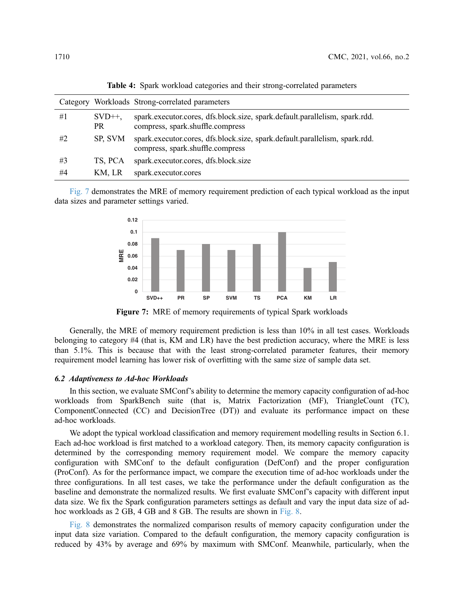<span id="page-13-0"></span>

|    |                 | Category Workloads Strong-correlated parameters                                                                 |
|----|-----------------|-----------------------------------------------------------------------------------------------------------------|
| #1 | $SVD++$ ,<br>PR | spark.executor.cores, dfs.block.size, spark.default.parallelism, spark.rdd.<br>compress, spark.shuffle.compress |
| #2 | SP, SVM         | spark.executor.cores, dfs.block.size, spark.default.parallelism, spark.rdd.<br>compress, spark.shuffle.compress |
| #3 | TS. PCA         | spark.executor.cores, dfs.block.size                                                                            |
| #4 | KM, LR          | spark.executor.cores                                                                                            |

Table 4: Spark workload categories and their strong-correlated parameters

<span id="page-13-1"></span>[Fig. 7](#page-13-1) demonstrates the MRE of memory requirement prediction of each typical workload as the input data sizes and parameter settings varied.



Figure 7: MRE of memory requirements of typical Spark workloads

Generally, the MRE of memory requirement prediction is less than 10% in all test cases. Workloads belonging to category #4 (that is, KM and LR) have the best prediction accuracy, where the MRE is less than 5.1%. This is because that with the least strong-correlated parameter features, their memory requirement model learning has lower risk of overfitting with the same size of sample data set.

# 6.2 Adaptiveness to Ad-hoc Workloads

In this section, we evaluate SMConf's ability to determine the memory capacity configuration of ad-hoc workloads from SparkBench suite (that is, Matrix Factorization (MF), TriangleCount (TC), ComponentConnected (CC) and DecisionTree (DT)) and evaluate its performance impact on these ad-hoc workloads.

We adopt the typical workload classification and memory requirement modelling results in Section 6.1. Each ad-hoc workload is first matched to a workload category. Then, its memory capacity configuration is determined by the corresponding memory requirement model. We compare the memory capacity configuration with SMConf to the default configuration (DefConf) and the proper configuration (ProConf). As for the performance impact, we compare the execution time of ad-hoc workloads under the three configurations. In all test cases, we take the performance under the default configuration as the baseline and demonstrate the normalized results. We first evaluate SMConf's capacity with different input data size. We fix the Spark configuration parameters settings as default and vary the input data size of adhoc workloads as 2 GB, 4 GB and 8 GB. The results are shown in [Fig. 8](#page-14-0).

[Fig. 8](#page-14-0) demonstrates the normalized comparison results of memory capacity configuration under the input data size variation. Compared to the default configuration, the memory capacity configuration is reduced by 43% by average and 69% by maximum with SMConf. Meanwhile, particularly, when the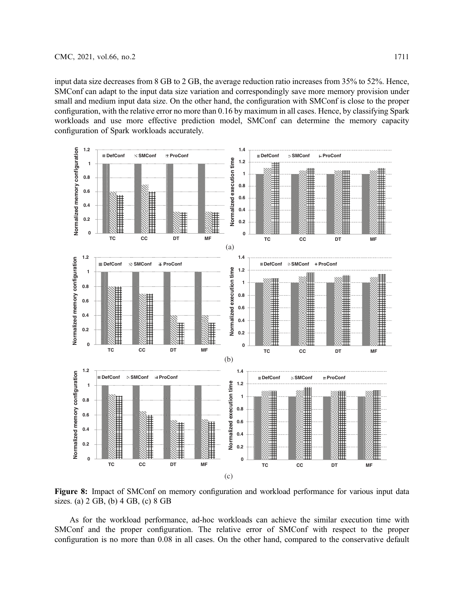input data size decreases from 8 GB to 2 GB, the average reduction ratio increases from 35% to 52%. Hence, SMConf can adapt to the input data size variation and correspondingly save more memory provision under small and medium input data size. On the other hand, the configuration with SMConf is close to the proper configuration, with the relative error no more than 0.16 by maximum in all cases. Hence, by classifying Spark workloads and use more effective prediction model, SMConf can determine the memory capacity configuration of Spark workloads accurately.

<span id="page-14-0"></span>

Figure 8: Impact of SMConf on memory configuration and workload performance for various input data sizes. (a) 2 GB, (b) 4 GB, (c) 8 GB

As for the workload performance, ad-hoc workloads can achieve the similar execution time with SMConf and the proper configuration. The relative error of SMConf with respect to the proper configuration is no more than 0.08 in all cases. On the other hand, compared to the conservative default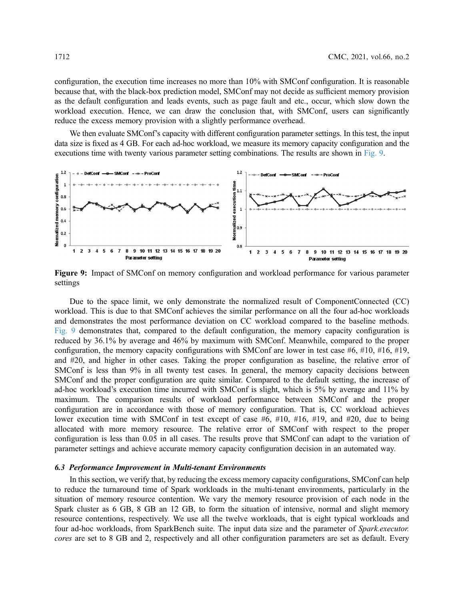configuration, the execution time increases no more than 10% with SMConf configuration. It is reasonable because that, with the black-box prediction model, SMConf may not decide as sufficient memory provision as the default configuration and leads events, such as page fault and etc., occur, which slow down the workload execution. Hence, we can draw the conclusion that, with SMConf, users can significantly reduce the excess memory provision with a slightly performance overhead.

We then evaluate SMConf's capacity with different configuration parameter settings. In this test, the input data size is fixed as 4 GB. For each ad-hoc workload, we measure its memory capacity configuration and the executions time with twenty various parameter setting combinations. The results are shown in [Fig. 9.](#page-15-0)

<span id="page-15-0"></span>

Figure 9: Impact of SMConf on memory configuration and workload performance for various parameter settings

Due to the space limit, we only demonstrate the normalized result of ComponentConnected (CC) workload. This is due to that SMConf achieves the similar performance on all the four ad-hoc workloads and demonstrates the most performance deviation on CC workload compared to the baseline methods. [Fig. 9](#page-15-0) demonstrates that, compared to the default configuration, the memory capacity configuration is reduced by 36.1% by average and 46% by maximum with SMConf. Meanwhile, compared to the proper configuration, the memory capacity configurations with SMConf are lower in test case  $#6, #10, #16, #19,$ and #20, and higher in other cases. Taking the proper configuration as baseline, the relative error of SMConf is less than 9% in all twenty test cases. In general, the memory capacity decisions between SMConf and the proper configuration are quite similar. Compared to the default setting, the increase of ad-hoc workload's execution time incurred with SMConf is slight, which is 5% by average and 11% by maximum. The comparison results of workload performance between SMConf and the proper configuration are in accordance with those of memory configuration. That is, CC workload achieves lower execution time with SMConf in test except of case #6, #10, #16, #19, and #20, due to being allocated with more memory resource. The relative error of SMConf with respect to the proper configuration is less than 0.05 in all cases. The results prove that SMConf can adapt to the variation of parameter settings and achieve accurate memory capacity configuration decision in an automated way.

## 6.3 Performance Improvement in Multi-tenant Environments

In this section, we verify that, by reducing the excess memory capacity configurations, SMConf can help to reduce the turnaround time of Spark workloads in the multi-tenant environments, particularly in the situation of memory resource contention. We vary the memory resource provision of each node in the Spark cluster as 6 GB, 8 GB an 12 GB, to form the situation of intensive, normal and slight memory resource contentions, respectively. We use all the twelve workloads, that is eight typical workloads and four ad-hoc workloads, from SparkBench suite. The input data size and the parameter of Spark.executor. cores are set to 8 GB and 2, respectively and all other configuration parameters are set as default. Every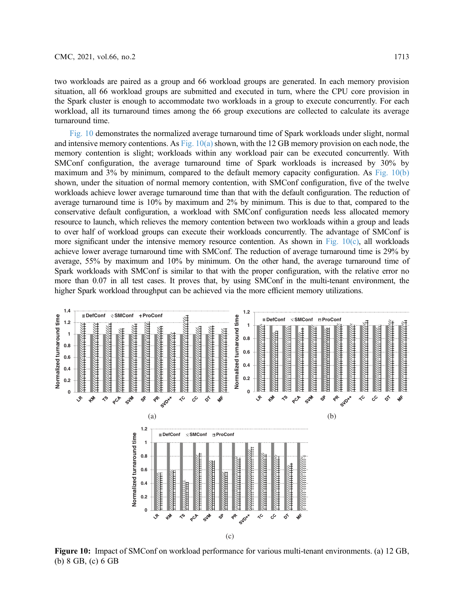two workloads are paired as a group and 66 workload groups are generated. In each memory provision situation, all 66 workload groups are submitted and executed in turn, where the CPU core provision in the Spark cluster is enough to accommodate two workloads in a group to execute concurrently. For each workload, all its turnaround times among the 66 group executions are collected to calculate its average turnaround time.

[Fig. 10](#page-16-0) demonstrates the normalized average turnaround time of Spark workloads under slight, normal and intensive memory contentions. As [Fig. 10\(a\)](#page-16-0) shown, with the 12 GB memory provision on each node, the memory contention is slight; workloads within any workload pair can be executed concurrently. With SMConf configuration, the average turnaround time of Spark workloads is increased by 30% by maximum and 3% by minimum, compared to the default memory capacity configuration. As [Fig. 10\(b\)](#page-16-0) shown, under the situation of normal memory contention, with SMConf configuration, five of the twelve workloads achieve lower average turnaround time than that with the default configuration. The reduction of average turnaround time is 10% by maximum and 2% by minimum. This is due to that, compared to the conservative default configuration, a workload with SMConf configuration needs less allocated memory resource to launch, which relieves the memory contention between two workloads within a group and leads to over half of workload groups can execute their workloads concurrently. The advantage of SMConf is more significant under the intensive memory resource contention. As shown in Fig.  $10(c)$ , all workloads achieve lower average turnaround time with SMConf. The reduction of average turnaround time is 29% by average, 55% by maximum and 10% by minimum. On the other hand, the average turnaround time of Spark workloads with SMConf is similar to that with the proper configuration, with the relative error no more than 0.07 in all test cases. It proves that, by using SMConf in the multi-tenant environment, the higher Spark workload throughput can be achieved via the more efficient memory utilizations.

<span id="page-16-0"></span>

Figure 10: Impact of SMConf on workload performance for various multi-tenant environments. (a) 12 GB, (b) 8 GB, (c) 6 GB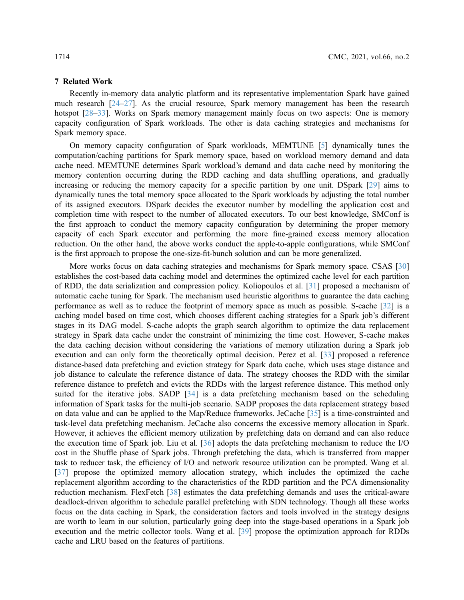## 7 Related Work

Recently in-memory data analytic platform and its representative implementation Spark have gained much research [\[24](#page-19-21)–[27\]](#page-20-0). As the crucial resource, Spark memory management has been the research hotspot [\[28](#page-20-1)–[33\]](#page-20-2). Works on Spark memory management mainly focus on two aspects: One is memory capacity configuration of Spark workloads. The other is data caching strategies and mechanisms for Spark memory space.

On memory capacity configuration of Spark workloads, MEMTUNE [[5](#page-19-2)] dynamically tunes the computation/caching partitions for Spark memory space, based on workload memory demand and data cache need. MEMTUNE determines Spark workload's demand and data cache need by monitoring the memory contention occurring during the RDD caching and data shuffling operations, and gradually increasing or reducing the memory capacity for a specific partition by one unit. DSpark [\[29\]](#page-20-3) aims to dynamically tunes the total memory space allocated to the Spark workloads by adjusting the total number of its assigned executors. DSpark decides the executor number by modelling the application cost and completion time with respect to the number of allocated executors. To our best knowledge, SMConf is the first approach to conduct the memory capacity configuration by determining the proper memory capacity of each Spark executor and performing the more fine-grained excess memory allocation reduction. On the other hand, the above works conduct the apple-to-apple configurations, while SMConf is the first approach to propose the one-size-fit-bunch solution and can be more generalized.

More works focus on data caching strategies and mechanisms for Spark memory space. CSAS [[30\]](#page-20-4) establishes the cost-based data caching model and determines the optimized cache level for each partition of RDD, the data serialization and compression policy. Koliopoulos et al. [[31](#page-20-5)] proposed a mechanism of automatic cache tuning for Spark. The mechanism used heuristic algorithms to guarantee the data caching performance as well as to reduce the footprint of memory space as much as possible. S-cache [\[32](#page-20-6)] is a caching model based on time cost, which chooses different caching strategies for a Spark job's different stages in its DAG model. S-cache adopts the graph search algorithm to optimize the data replacement strategy in Spark data cache under the constraint of minimizing the time cost. However, S-cache makes the data caching decision without considering the variations of memory utilization during a Spark job execution and can only form the theoretically optimal decision. Perez et al. [[33\]](#page-20-2) proposed a reference distance-based data prefetching and eviction strategy for Spark data cache, which uses stage distance and job distance to calculate the reference distance of data. The strategy chooses the RDD with the similar reference distance to prefetch and evicts the RDDs with the largest reference distance. This method only suited for the iterative jobs. SADP [\[34](#page-20-7)] is a data prefetching mechanism based on the scheduling information of Spark tasks for the multi-job scenario. SADP proposes the data replacement strategy based on data value and can be applied to the Map/Reduce frameworks. JeCache [[35\]](#page-20-8) is a time-constrainted and task-level data prefetching mechanism. JeCache also concerns the excessive memory allocation in Spark. However, it achieves the efficient memory utilization by prefetching data on demand and can also reduce the execution time of Spark job. Liu et al. [\[36](#page-20-9)] adopts the data prefetching mechanism to reduce the I/O cost in the Shuffle phase of Spark jobs. Through prefetching the data, which is transferred from mapper task to reducer task, the efficiency of I/O and network resource utilization can be prompted. Wang et al. [[37](#page-20-10)] propose the optimized memory allocation strategy, which includes the optimized the cache replacement algorithm according to the characteristics of the RDD partition and the PCA dimensionality reduction mechanism. FlexFetch [[38\]](#page-20-11) estimates the data prefetching demands and uses the critical-aware deadlock-driven algorithm to schedule parallel prefetching with SDN technology. Though all these works focus on the data caching in Spark, the consideration factors and tools involved in the strategy designs are worth to learn in our solution, particularly going deep into the stage-based operations in a Spark job execution and the metric collector tools. Wang et al. [[39\]](#page-20-12) propose the optimization approach for RDDs cache and LRU based on the features of partitions.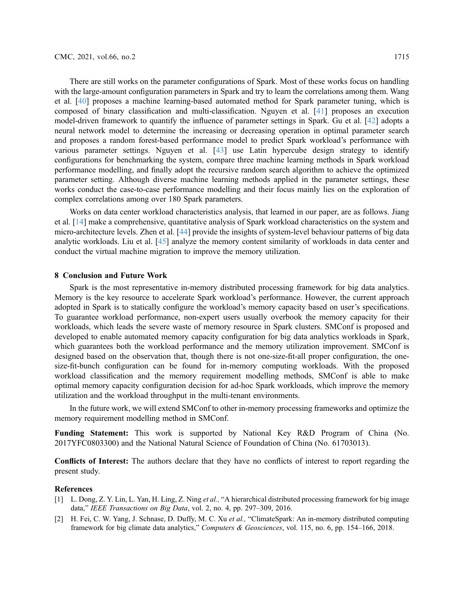There are still works on the parameter configurations of Spark. Most of these works focus on handling with the large-amount configuration parameters in Spark and try to learn the correlations among them. Wang et al. [\[40](#page-20-13)] proposes a machine learning-based automated method for Spark parameter tuning, which is composed of binary classification and multi-classification. Nguyen et al. [[41\]](#page-20-14) proposes an execution model-driven framework to quantify the influence of parameter settings in Spark. Gu et al. [[42\]](#page-20-15) adopts a neural network model to determine the increasing or decreasing operation in optimal parameter search and proposes a random forest-based performance model to predict Spark workload's performance with various parameter settings. Nguyen et al. [[43\]](#page-20-16) use Latin hypercube design strategy to identify configurations for benchmarking the system, compare three machine learning methods in Spark workload performance modelling, and finally adopt the recursive random search algorithm to achieve the optimized parameter setting. Although diverse machine learning methods applied in the parameter settings, these works conduct the case-to-case performance modelling and their focus mainly lies on the exploration of complex correlations among over 180 Spark parameters.

Works on data center workload characteristics analysis, that learned in our paper, are as follows. Jiang et al. [\[14](#page-19-11)] make a comprehensive, quantitative analysis of Spark workload characteristics on the system and micro-architecture levels. Zhen et al. [[44\]](#page-20-17) provide the insights of system-level behaviour patterns of big data analytic workloads. Liu et al. [[45\]](#page-20-18) analyze the memory content similarity of workloads in data center and conduct the virtual machine migration to improve the memory utilization.

## 8 Conclusion and Future Work

Spark is the most representative in-memory distributed processing framework for big data analytics. Memory is the key resource to accelerate Spark workload's performance. However, the current approach adopted in Spark is to statically configure the workload's memory capacity based on user's specifications. To guarantee workload performance, non-expert users usually overbook the memory capacity for their workloads, which leads the severe waste of memory resource in Spark clusters. SMConf is proposed and developed to enable automated memory capacity configuration for big data analytics workloads in Spark, which guarantees both the workload performance and the memory utilization improvement. SMConf is designed based on the observation that, though there is not one-size-fit-all proper configuration, the onesize-fit-bunch configuration can be found for in-memory computing workloads. With the proposed workload classification and the memory requirement modelling methods, SMConf is able to make optimal memory capacity configuration decision for ad-hoc Spark workloads, which improve the memory utilization and the workload throughput in the multi-tenant environments.

In the future work, we will extend SMConf to other in-memory processing frameworks and optimize the memory requirement modelling method in SMConf.

Funding Statement: This work is supported by National Key R&D Program of China (No. 2017YFC0803300) and the National Natural Science of Foundation of China (No. 61703013).

Conflicts of Interest: The authors declare that they have no conflicts of interest to report regarding the present study.

#### References

- <span id="page-18-0"></span>[1] L. Dong, Z. Y. Lin, L. Yan, H. Ling, Z. Ning et al., "A hierarchical distributed processing framework for big image data," IEEE Transactions on Big Data, vol. 2, no. 4, pp. 297-309, 2016.
- <span id="page-18-1"></span>[2] H. Fei, C. W. Yang, J. Schnase, D. Duffy, M. C. Xu et al., "ClimateSpark: An in-memory distributed computing framework for big climate data analytics," Computers & Geosciences, vol. 115, no. 6, pp. 154–166, 2018.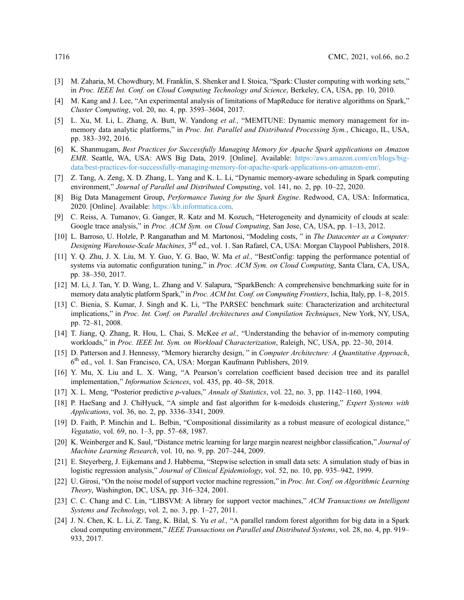- <span id="page-19-0"></span>[3] M. Zaharia, M. Chowdhury, M. Franklin, S. Shenker and I. Stoica, "Spark: Cluster computing with working sets," in Proc. IEEE Int. Conf. on Cloud Computing Technology and Science, Berkeley, CA, USA, pp. 10, 2010.
- <span id="page-19-1"></span>[4] M. Kang and J. Lee, "An experimental analysis of limitations of MapReduce for iterative algorithms on Spark," Cluster Computing, vol. 20, no. 4, pp. 3593–3604, 2017.
- <span id="page-19-2"></span>[5] L. Xu, M. Li, L. Zhang, A. Butt, W. Yandong et al., "MEMTUNE: Dynamic memory management for inmemory data analytic platforms," in *Proc. Int. Parallel and Distributed Processing Sym.*, Chicago, IL, USA, pp. 383–392, 2016.
- <span id="page-19-3"></span>[6] K. Shanmugam, Best Practices for Successfully Managing Memory for Apache Spark applications on Amazon EMR. Seattle, WA, USA: AWS Big Data, 2019. [Online]. Available: [https://aws.amazon.com/cn/blogs/big](https://aws.amazon.com/cn/blogs/big-data/best-practices-for-successfully-managing-memory-for-apache-spark-applications-on-amazon-emr/)[data/best-practices-for-successfully-managing-memory-for-apache-spark-applications-on-amazon-emr/](https://aws.amazon.com/cn/blogs/big-data/best-practices-for-successfully-managing-memory-for-apache-spark-applications-on-amazon-emr/).
- <span id="page-19-4"></span>[7] Z. Tang, A. Zeng, X. D. Zhang, L. Yang and K. L. Li, "Dynamic memory-aware scheduling in Spark computing environment," Journal of Parallel and Distributed Computing, vol. 141, no. 2, pp. 10–22, 2020.
- <span id="page-19-5"></span>[8] Big Data Management Group, Performance Tuning for the Spark Engine. Redwood, CA, USA: Informatica, 2020. [Online]. Available: <https://kb.informatica.com>.
- <span id="page-19-6"></span>[9] C. Reiss, A. Tumanov, G. Ganger, R. Katz and M. Kozuch, "Heterogeneity and dynamicity of clouds at scale: Google trace analysis," in Proc. ACM Sym. on Cloud Computing, San Jose, CA, USA, pp. 1–13, 2012.
- <span id="page-19-7"></span>[10] L. Barroso, U. Holzle, P. Ranganathan and M. Martonosi, "Modeling costs, " in The Datacenter as a Computer: Designing Warehouse-Scale Machines, 3<sup>rd</sup> ed., vol. 1. San Rafarel, CA, USA: Morgan Claypool Publishers, 2018.
- <span id="page-19-8"></span>[11] Y. Q. Zhu, J. X. Liu, M. Y. Guo, Y. G. Bao, W. Ma et al., "BestConfig: tapping the performance potential of systems via automatic configuration tuning," in *Proc. ACM Sym. on Cloud Computing*, Santa Clara, CA, USA, pp. 38–350, 2017.
- <span id="page-19-9"></span>[12] M. Li, J. Tan, Y. D. Wang, L. Zhang and V. Salapura, "SparkBench: A comprehensive benchmarking suite for in memory data analytic platform Spark," in Proc. ACM Int. Conf. on Computing Frontiers, Ischia, Italy, pp. 1–8, 2015.
- <span id="page-19-10"></span>[13] C. Bienia, S. Kumar, J. Singh and K. Li, "The PARSEC benchmark suite: Characterization and architectural implications," in Proc. Int. Conf. on Parallel Architectures and Compilation Techniques, New York, NY, USA, pp. 72–81, 2008.
- <span id="page-19-11"></span>[14] T. Jiang, Q. Zhang, R. Hou, L. Chai, S. McKee et al., "Understanding the behavior of in-memory computing workloads," in Proc. IEEE Int. Sym. on Workload Characterization, Raleigh, NC, USA, pp. 22–30, 2014.
- <span id="page-19-12"></span>[15] D. Patterson and J. Hennessy, "Memory hierarchy design," in Computer Architecture: A Quantitative Approach, 6th ed., vol. 1. San Francisco, CA, USA: Morgan Kaufmann Publishers, 2019.
- <span id="page-19-13"></span>[16] Y. Mu, X. Liu and L. X. Wang, "A Pearson's correlation coefficient based decision tree and its parallel implementation," Information Sciences, vol. 435, pp. 40–58, 2018.
- <span id="page-19-14"></span>[17] X. L. Meng, "Posterior predictive p-values," Annals of Statistics, vol. 22, no. 3, pp. 1142–1160, 1994.
- <span id="page-19-15"></span>[18] P. HaeSang and J. ChiHyuck, "A simple and fast algorithm for k-medoids clustering," Expert Systems with Applications, vol. 36, no. 2, pp. 3336–3341, 2009.
- <span id="page-19-16"></span>[19] D. Faith, P. Minchin and L. Belbin, "Compositional dissimilarity as a robust measure of ecological distance," Vegatatio, vol. 69, no. 1–3, pp. 57–68, 1987.
- <span id="page-19-17"></span>[20] K. Weinberger and K. Saul, "Distance metric learning for large margin nearest neighbor classification," Journal of Machine Learning Research, vol. 10, no. 9, pp. 207–244, 2009.
- <span id="page-19-18"></span>[21] E. Steyerberg, J. Eijkemans and J. Habbema, "Stepwise selection in small data sets: A simulation study of bias in logistic regression analysis," Journal of Clinical Epidemiology, vol. 52, no. 10, pp. 935–942, 1999.
- <span id="page-19-19"></span>[22] U. Girosi, "On the noise model of support vector machine regression," in Proc. Int. Conf. on Algorithmic Learning Theory, Washington, DC, USA, pp. 316–324, 2001.
- <span id="page-19-20"></span>[23] C. C. Chang and C. Lin, "LIBSVM: A library for support vector machines," ACM Transactions on Intelligent Systems and Technology, vol. 2, no. 3, pp. 1–27, 2011.
- <span id="page-19-21"></span>[24] J. N. Chen, K. L. Li, Z. Tang, K. Bilal, S. Yu et al., "A parallel random forest algorithm for big data in a Spark cloud computing environment," IEEE Transactions on Parallel and Distributed Systems, vol. 28, no. 4, pp. 919– 933, 2017.